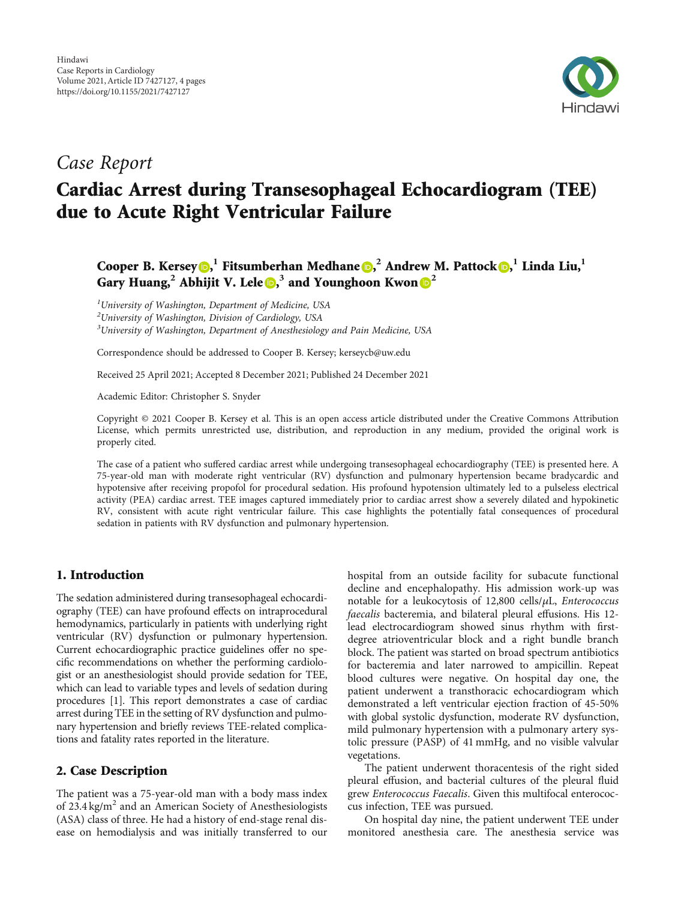

# Case Report

# Cardiac Arrest during Transesophageal Echocardiogram (TEE) due to Acute Right Ventricular Failure

Cooper B. Kersey **D**[,](https://orcid.org/0000-0002-1181-4240) Fitsumberhan Medhane **D**, <sup>2</sup> Andrew M. Pattock **D**, <sup>1</sup> Linda Liu, <sup>1</sup> Gary Huang,<sup>2</sup> Abhijit V. Lele **D**,<sup>3</sup> and Younghoon Kwon **D**<sup>2</sup>

 $<sup>1</sup>$ University of Washington, Department of Medicine, USA</sup>  $^{2}$ University of Washington, Division of Cardiology, USA  $3$ University of Washington, Department of Anesthesiology and Pain Medicine, USA

Correspondence should be addressed to Cooper B. Kersey; kerseycb@uw.edu

Received 25 April 2021; Accepted 8 December 2021; Published 24 December 2021

Academic Editor: Christopher S. Snyder

Copyright © 2021 Cooper B. Kersey et al. This is an open access article distributed under the [Creative Commons Attribution](https://creativecommons.org/licenses/by/4.0/) [License,](https://creativecommons.org/licenses/by/4.0/) which permits unrestricted use, distribution, and reproduction in any medium, provided the original work is properly cited.

The case of a patient who suffered cardiac arrest while undergoing transesophageal echocardiography (TEE) is presented here. A 75-year-old man with moderate right ventricular (RV) dysfunction and pulmonary hypertension became bradycardic and hypotensive after receiving propofol for procedural sedation. His profound hypotension ultimately led to a pulseless electrical activity (PEA) cardiac arrest. TEE images captured immediately prior to cardiac arrest show a severely dilated and hypokinetic RV, consistent with acute right ventricular failure. This case highlights the potentially fatal consequences of procedural sedation in patients with RV dysfunction and pulmonary hypertension.

## 1. Introduction

The sedation administered during transesophageal echocardiography (TEE) can have profound effects on intraprocedural hemodynamics, particularly in patients with underlying right ventricular (RV) dysfunction or pulmonary hypertension. Current echocardiographic practice guidelines offer no specific recommendations on whether the performing cardiologist or an anesthesiologist should provide sedation for TEE, which can lead to variable types and levels of sedation during procedures [[1\]](#page-3-0). This report demonstrates a case of cardiac arrest during TEE in the setting of RV dysfunction and pulmonary hypertension and briefly reviews TEE-related complications and fatality rates reported in the literature.

## 2. Case Description

The patient was a 75-year-old man with a body mass index of  $23.4 \text{ kg/m}^2$  and an American Society of Anesthesiologists (ASA) class of three. He had a history of end-stage renal disease on hemodialysis and was initially transferred to our

hospital from an outside facility for subacute functional decline and encephalopathy. His admission work-up was notable for a leukocytosis of 12,800 cells/*μ*L, Enterococcus faecalis bacteremia, and bilateral pleural effusions. His 12 lead electrocardiogram showed sinus rhythm with firstdegree atrioventricular block and a right bundle branch block. The patient was started on broad spectrum antibiotics for bacteremia and later narrowed to ampicillin. Repeat blood cultures were negative. On hospital day one, the patient underwent a transthoracic echocardiogram which demonstrated a left ventricular ejection fraction of 45-50% with global systolic dysfunction, moderate RV dysfunction, mild pulmonary hypertension with a pulmonary artery systolic pressure (PASP) of 41 mmHg, and no visible valvular vegetations.

The patient underwent thoracentesis of the right sided pleural effusion, and bacterial cultures of the pleural fluid grew Enterococcus Faecalis. Given this multifocal enterococcus infection, TEE was pursued.

On hospital day nine, the patient underwent TEE under monitored anesthesia care. The anesthesia service was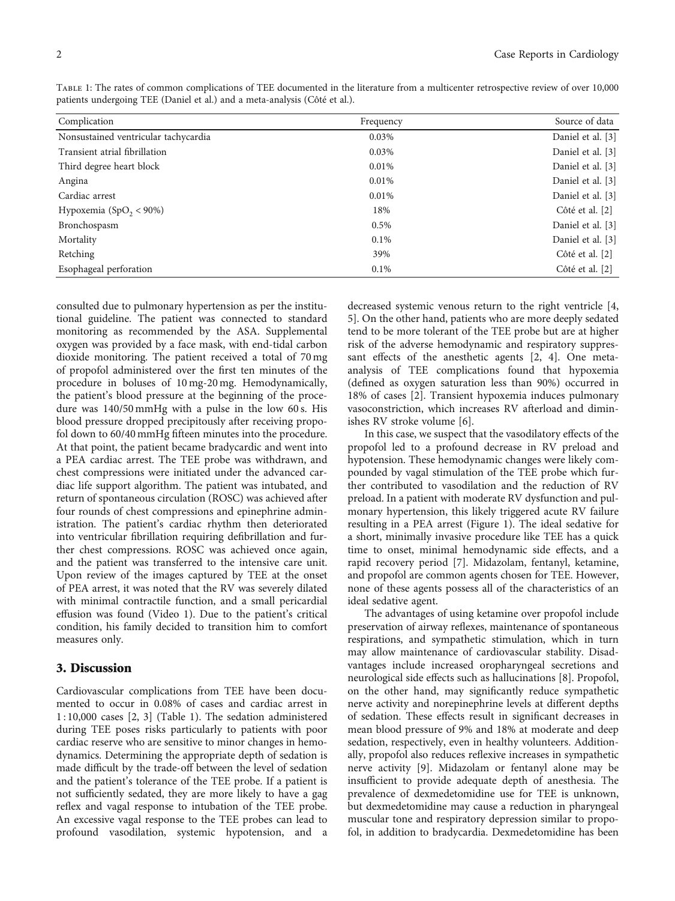Table 1: The rates of common complications of TEE documented in the literature from a multicenter retrospective review of over 10,000 patients undergoing TEE (Daniel et al.) and a meta-analysis (Côté et al.).

| Complication                         | Frequency | Source of data    |
|--------------------------------------|-----------|-------------------|
| Nonsustained ventricular tachycardia | 0.03%     | Daniel et al. [3] |
| Transient atrial fibrillation        | 0.03%     | Daniel et al. [3] |
| Third degree heart block             | 0.01%     | Daniel et al. [3] |
| Angina                               | 0.01%     | Daniel et al. [3] |
| Cardiac arrest                       | 0.01%     | Daniel et al. [3] |
| Hypoxemia $(SpO2 < 90%)$             | 18%       | Côté et al. [2]   |
| Bronchospasm                         | $0.5\%$   | Daniel et al. [3] |
| Mortality                            | 0.1%      | Daniel et al. [3] |
| Retching                             | 39%       | Côté et al. [2]   |
| Esophageal perforation               | $0.1\%$   | Côté et al. [2]   |

consulted due to pulmonary hypertension as per the institutional guideline. The patient was connected to standard monitoring as recommended by the ASA. Supplemental oxygen was provided by a face mask, with end-tidal carbon dioxide monitoring. The patient received a total of 70 mg of propofol administered over the first ten minutes of the procedure in boluses of 10 mg-20 mg. Hemodynamically, the patient's blood pressure at the beginning of the procedure was 140/50 mmHg with a pulse in the low 60 s. His blood pressure dropped precipitously after receiving propofol down to 60/40 mmHg fifteen minutes into the procedure. At that point, the patient became bradycardic and went into a PEA cardiac arrest. The TEE probe was withdrawn, and chest compressions were initiated under the advanced cardiac life support algorithm. The patient was intubated, and return of spontaneous circulation (ROSC) was achieved after four rounds of chest compressions and epinephrine administration. The patient's cardiac rhythm then deteriorated into ventricular fibrillation requiring defibrillation and further chest compressions. ROSC was achieved once again, and the patient was transferred to the intensive care unit. Upon review of the images captured by TEE at the onset of PEA arrest, it was noted that the RV was severely dilated with minimal contractile function, and a small pericardial effusion was found (Video [1\)](#page-3-0). Due to the patient's critical condition, his family decided to transition him to comfort measures only.

#### 3. Discussion

Cardiovascular complications from TEE have been documented to occur in 0.08% of cases and cardiac arrest in 1 : 10,000 cases [[2, 3](#page-3-0)] (Table 1). The sedation administered during TEE poses risks particularly to patients with poor cardiac reserve who are sensitive to minor changes in hemodynamics. Determining the appropriate depth of sedation is made difficult by the trade-off between the level of sedation and the patient's tolerance of the TEE probe. If a patient is not sufficiently sedated, they are more likely to have a gag reflex and vagal response to intubation of the TEE probe. An excessive vagal response to the TEE probes can lead to profound vasodilation, systemic hypotension, and a

decreased systemic venous return to the right ventricle [[4,](#page-3-0) [5\]](#page-3-0). On the other hand, patients who are more deeply sedated tend to be more tolerant of the TEE probe but are at higher risk of the adverse hemodynamic and respiratory suppressant effects of the anesthetic agents [[2](#page-3-0), [4](#page-3-0)]. One metaanalysis of TEE complications found that hypoxemia (defined as oxygen saturation less than 90%) occurred in 18% of cases [\[2\]](#page-3-0). Transient hypoxemia induces pulmonary vasoconstriction, which increases RV afterload and diminishes RV stroke volume [[6\]](#page-3-0).

In this case, we suspect that the vasodilatory effects of the propofol led to a profound decrease in RV preload and hypotension. These hemodynamic changes were likely compounded by vagal stimulation of the TEE probe which further contributed to vasodilation and the reduction of RV preload. In a patient with moderate RV dysfunction and pulmonary hypertension, this likely triggered acute RV failure resulting in a PEA arrest (Figure [1](#page-2-0)). The ideal sedative for a short, minimally invasive procedure like TEE has a quick time to onset, minimal hemodynamic side effects, and a rapid recovery period [[7\]](#page-3-0). Midazolam, fentanyl, ketamine, and propofol are common agents chosen for TEE. However, none of these agents possess all of the characteristics of an ideal sedative agent.

The advantages of using ketamine over propofol include preservation of airway reflexes, maintenance of spontaneous respirations, and sympathetic stimulation, which in turn may allow maintenance of cardiovascular stability. Disadvantages include increased oropharyngeal secretions and neurological side effects such as hallucinations [[8\]](#page-3-0). Propofol, on the other hand, may significantly reduce sympathetic nerve activity and norepinephrine levels at different depths of sedation. These effects result in significant decreases in mean blood pressure of 9% and 18% at moderate and deep sedation, respectively, even in healthy volunteers. Additionally, propofol also reduces reflexive increases in sympathetic nerve activity [[9\]](#page-3-0). Midazolam or fentanyl alone may be insufficient to provide adequate depth of anesthesia. The prevalence of dexmedetomidine use for TEE is unknown, but dexmedetomidine may cause a reduction in pharyngeal muscular tone and respiratory depression similar to propofol, in addition to bradycardia. Dexmedetomidine has been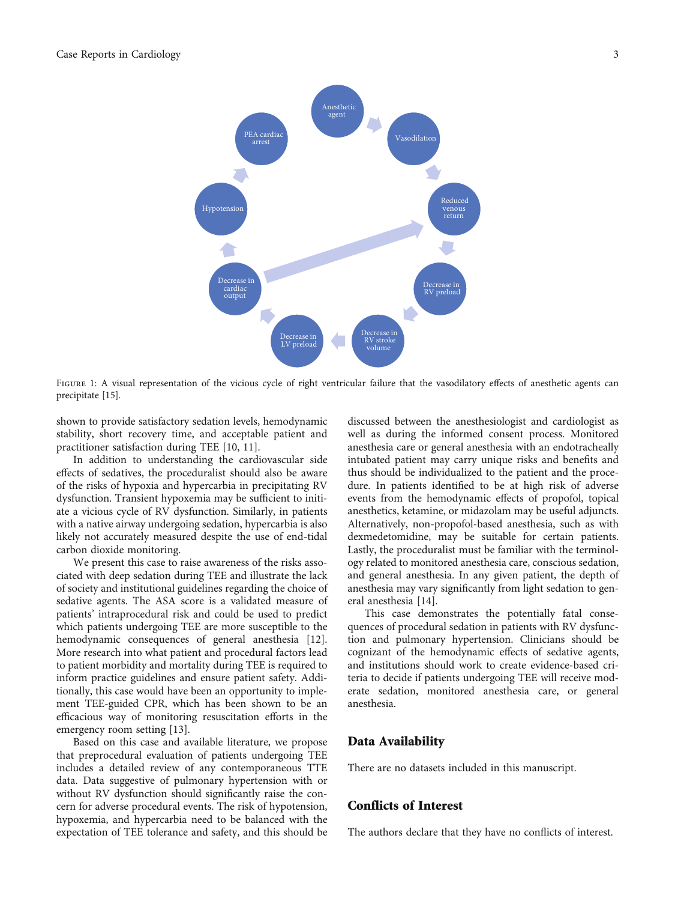<span id="page-2-0"></span>

FIGURE 1: A visual representation of the vicious cycle of right ventricular failure that the vasodilatory effects of anesthetic agents can precipitate [[15](#page-3-0)].

shown to provide satisfactory sedation levels, hemodynamic stability, short recovery time, and acceptable patient and practitioner satisfaction during TEE [\[10, 11\]](#page-3-0).

In addition to understanding the cardiovascular side effects of sedatives, the proceduralist should also be aware of the risks of hypoxia and hypercarbia in precipitating RV dysfunction. Transient hypoxemia may be sufficient to initiate a vicious cycle of RV dysfunction. Similarly, in patients with a native airway undergoing sedation, hypercarbia is also likely not accurately measured despite the use of end-tidal carbon dioxide monitoring.

We present this case to raise awareness of the risks associated with deep sedation during TEE and illustrate the lack of society and institutional guidelines regarding the choice of sedative agents. The ASA score is a validated measure of patients' intraprocedural risk and could be used to predict which patients undergoing TEE are more susceptible to the hemodynamic consequences of general anesthesia [[12](#page-3-0)]. More research into what patient and procedural factors lead to patient morbidity and mortality during TEE is required to inform practice guidelines and ensure patient safety. Additionally, this case would have been an opportunity to implement TEE-guided CPR, which has been shown to be an efficacious way of monitoring resuscitation efforts in the emergency room setting [[13](#page-3-0)].

Based on this case and available literature, we propose that preprocedural evaluation of patients undergoing TEE includes a detailed review of any contemporaneous TTE data. Data suggestive of pulmonary hypertension with or without RV dysfunction should significantly raise the concern for adverse procedural events. The risk of hypotension, hypoxemia, and hypercarbia need to be balanced with the expectation of TEE tolerance and safety, and this should be discussed between the anesthesiologist and cardiologist as well as during the informed consent process. Monitored anesthesia care or general anesthesia with an endotracheally intubated patient may carry unique risks and benefits and thus should be individualized to the patient and the procedure. In patients identified to be at high risk of adverse events from the hemodynamic effects of propofol, topical anesthetics, ketamine, or midazolam may be useful adjuncts. Alternatively, non-propofol-based anesthesia, such as with dexmedetomidine, may be suitable for certain patients. Lastly, the proceduralist must be familiar with the terminology related to monitored anesthesia care, conscious sedation, and general anesthesia. In any given patient, the depth of anesthesia may vary significantly from light sedation to general anesthesia [[14\]](#page-3-0).

This case demonstrates the potentially fatal consequences of procedural sedation in patients with RV dysfunction and pulmonary hypertension. Clinicians should be cognizant of the hemodynamic effects of sedative agents, and institutions should work to create evidence-based criteria to decide if patients undergoing TEE will receive moderate sedation, monitored anesthesia care, or general anesthesia.

#### Data Availability

There are no datasets included in this manuscript.

#### Conflicts of Interest

The authors declare that they have no conflicts of interest.